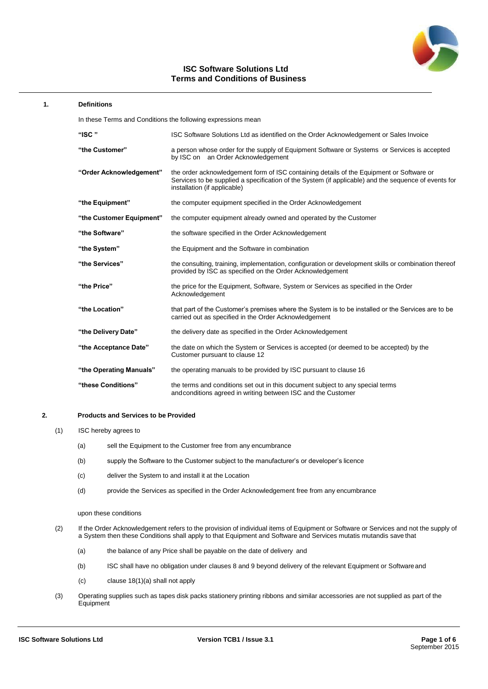

**1. Definitions**

In these Terms and Conditions the following expressions mean

| "ISC"                    | ISC Software Solutions Ltd as identified on the Order Acknowledgement or Sales Invoice                                                                                                                                           |
|--------------------------|----------------------------------------------------------------------------------------------------------------------------------------------------------------------------------------------------------------------------------|
| "the Customer"           | a person whose order for the supply of Equipment Software or Systems or Services is accepted<br>by ISC on an Order Acknowledgement                                                                                               |
| "Order Acknowledgement"  | the order acknowledgement form of ISC containing details of the Equipment or Software or<br>Services to be supplied a specification of the System (if applicable) and the sequence of events for<br>installation (if applicable) |
| "the Equipment"          | the computer equipment specified in the Order Acknowledgement                                                                                                                                                                    |
| "the Customer Equipment" | the computer equipment already owned and operated by the Customer                                                                                                                                                                |
| "the Software"           | the software specified in the Order Acknowledgement                                                                                                                                                                              |
| "the System"             | the Equipment and the Software in combination                                                                                                                                                                                    |
| "the Services"           | the consulting, training, implementation, configuration or development skills or combination thereof<br>provided by ISC as specified on the Order Acknowledgement                                                                |
| "the Price"              | the price for the Equipment, Software, System or Services as specified in the Order<br>Acknowledgement                                                                                                                           |
| "the Location"           | that part of the Customer's premises where the System is to be installed or the Services are to be<br>carried out as specified in the Order Acknowledgement                                                                      |
| "the Delivery Date"      | the delivery date as specified in the Order Acknowledgement                                                                                                                                                                      |
| "the Acceptance Date"    | the date on which the System or Services is accepted (or deemed to be accepted) by the<br>Customer pursuant to clause 12                                                                                                         |
| "the Operating Manuals"  | the operating manuals to be provided by ISC pursuant to clause 16                                                                                                                                                                |
| "these Conditions"       | the terms and conditions set out in this document subject to any special terms<br>and conditions agreed in writing between ISC and the Customer                                                                                  |

# **2. Products and Services to be Provided**

- (1) ISC hereby agrees to
	- (a) sell the Equipment to the Customer free from any encumbrance
	- (b) supply the Software to the Customer subject to the manufacturer's or developer's licence
	- (c) deliver the System to and install it at the Location
	- (d) provide the Services as specified in the Order Acknowledgement free from any encumbrance

## upon these conditions

- (2) If the Order Acknowledgement refers to the provision of individual items of Equipment or Software or Services and not the supply of a System then these Conditions shall apply to that Equipment and Software and Services mutatis mutandis save that
	- (a) the balance of any Price shall be payable on the date of delivery and
	- (b) ISC shall have no obligation under clauses 8 and 9 beyond delivery of the relevant Equipment or Softwareand
	- (c) clause 18(1)(a) shall not apply
- (3) Operating supplies such as tapes disk packs stationery printing ribbons and similar accessories are not supplied as part of the Equipment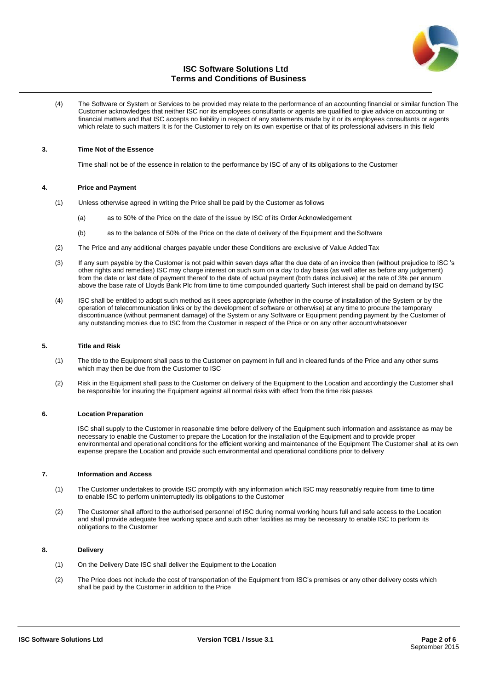

(4) The Software or System or Services to be provided may relate to the performance of an accounting financial or similar function The Customer acknowledges that neither ISC nor its employees consultants or agents are qualified to give advice on accounting or financial matters and that ISC accepts no liability in respect of any statements made by it or its employees consultants or agents which relate to such matters It is for the Customer to rely on its own expertise or that of its professional advisers in this field

# **3. Time Not of the Essence**

Time shall not be of the essence in relation to the performance by ISC of any of its obligations to the Customer

# **4. Price and Payment**

- (1) Unless otherwise agreed in writing the Price shall be paid by the Customer as follows
	- (a) as to 50% of the Price on the date of the issue by ISC of its Order Acknowledgement
	- (b) as to the balance of 50% of the Price on the date of delivery of the Equipment and theSoftware
- (2) The Price and any additional charges payable under these Conditions are exclusive of Value Added Tax
- (3) If any sum payable by the Customer is not paid within seven days after the due date of an invoice then (without prejudice to ISC 's other rights and remedies) ISC may charge interest on such sum on a day to day basis (as well after as before any judgement) from the date or last date of payment thereof to the date of actual payment (both dates inclusive) at the rate of 3% per annum above the base rate of Lloyds Bank Plc from time to time compounded quarterly Such interest shall be paid on demand by ISC
- (4) ISC shall be entitled to adopt such method as it sees appropriate (whether in the course of installation of the System or by the operation of telecommunication links or by the development of software or otherwise) at any time to procure the temporary discontinuance (without permanent damage) of the System or any Software or Equipment pending payment by the Customer of any outstanding monies due to ISC from the Customer in respect of the Price or on any other account whatsoever

### **5. Title and Risk**

- (1) The title to the Equipment shall pass to the Customer on payment in full and in cleared funds of the Price and any other sums which may then be due from the Customer to ISC
- (2) Risk in the Equipment shall pass to the Customer on delivery of the Equipment to the Location and accordingly the Customer shall be responsible for insuring the Equipment against all normal risks with effect from the time risk passes

# **6. Location Preparation**

ISC shall supply to the Customer in reasonable time before delivery of the Equipment such information and assistance as may be necessary to enable the Customer to prepare the Location for the installation of the Equipment and to provide proper environmental and operational conditions for the efficient working and maintenance of the Equipment The Customer shall at its own expense prepare the Location and provide such environmental and operational conditions prior to delivery

### **7. Information and Access**

- (1) The Customer undertakes to provide ISC promptly with any information which ISC may reasonably require from time to time to enable ISC to perform uninterruptedly its obligations to the Customer
- (2) The Customer shall afford to the authorised personnel of ISC during normal working hours full and safe access to the Location and shall provide adequate free working space and such other facilities as may be necessary to enable ISC to perform its obligations to the Customer

# **8. Delivery**

- (1) On the Delivery Date ISC shall deliver the Equipment to the Location
- (2) The Price does not include the cost of transportation of the Equipment from ISC's premises or any other delivery costs which shall be paid by the Customer in addition to the Price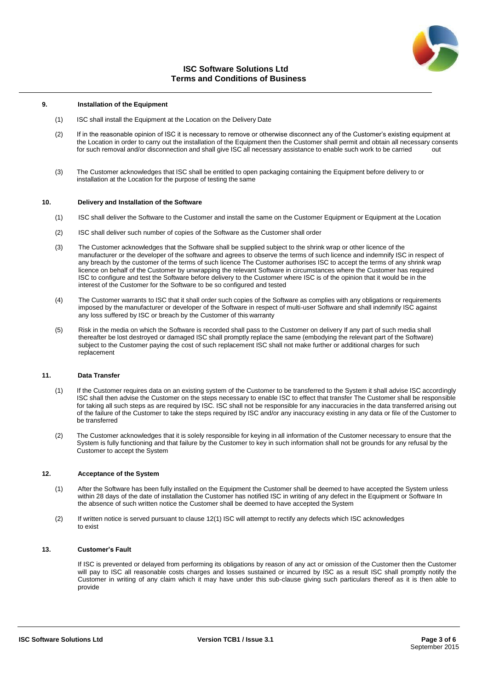

# **9. Installation of the Equipment**

- (1) ISC shall install the Equipment at the Location on the Delivery Date
- (2) If in the reasonable opinion of ISC it is necessary to remove or otherwise disconnect any of the Customer's existing equipment at the Location in order to carry out the installation of the Equipment then the Customer shall permit and obtain all necessary consents for such removal and/or disconnection and shall give ISC all necessary assistance to ena for such removal and/or disconnection and shall give ISC all necessary assistance to enable such work to be carried
- (3) The Customer acknowledges that ISC shall be entitled to open packaging containing the Equipment before delivery to or installation at the Location for the purpose of testing the same

### **10. Delivery and Installation of the Software**

- (1) ISC shall deliver the Software to the Customer and install the same on the Customer Equipment or Equipment at the Location
- (2) ISC shall deliver such number of copies of the Software as the Customer shall order
- (3) The Customer acknowledges that the Software shall be supplied subject to the shrink wrap or other licence of the manufacturer or the developer of the software and agrees to observe the terms of such licence and indemnify ISC in respect of any breach by the customer of the terms of such licence The Customer authorises ISC to accept the terms of any shrink wrap licence on behalf of the Customer by unwrapping the relevant Software in circumstances where the Customer has required ISC to configure and test the Software before delivery to the Customer where ISC is of the opinion that it would be in the interest of the Customer for the Software to be so configured and tested
- (4) The Customer warrants to ISC that it shall order such copies of the Software as complies with any obligations or requirements imposed by the manufacturer or developer of the Software in respect of multi-user Software and shall indemnify ISC against any loss suffered by ISC or breach by the Customer of this warranty
- (5) Risk in the media on which the Software is recorded shall pass to the Customer on delivery If any part of such media shall thereafter be lost destroyed or damaged ISC shall promptly replace the same (embodying the relevant part of the Software) subject to the Customer paying the cost of such replacement ISC shall not make further or additional charges for such replacement

## **11. Data Transfer**

- (1) If the Customer requires data on an existing system of the Customer to be transferred to the System it shall advise ISC accordingly ISC shall then advise the Customer on the steps necessary to enable ISC to effect that transfer The Customer shall be responsible for taking all such steps as are required by ISC. ISC shall not be responsible for any inaccuracies in the data transferred arising out of the failure of the Customer to take the steps required by ISC and/or any inaccuracy existing in any data or file of the Customer to be transferred
- (2) The Customer acknowledges that it is solely responsible for keying in all information of the Customer necessary to ensure that the System is fully functioning and that failure by the Customer to key in such information shall not be grounds for any refusal by the Customer to accept the System

# **12. Acceptance of the System**

- (1) After the Software has been fully installed on the Equipment the Customer shall be deemed to have accepted the System unless within 28 days of the date of installation the Customer has notified ISC in writing of any defect in the Equipment or Software In the absence of such written notice the Customer shall be deemed to have accepted the System
- (2) If written notice is served pursuant to clause 12(1) ISC will attempt to rectify any defects which ISC acknowledges to exist

# **13. Customer's Fault**

If ISC is prevented or delayed from performing its obligations by reason of any act or omission of the Customer then the Customer will pay to ISC all reasonable costs charges and losses sustained or incurred by ISC as a result ISC shall promptly notify the Customer in writing of any claim which it may have under this sub-clause giving such particulars thereof as it is then able to provide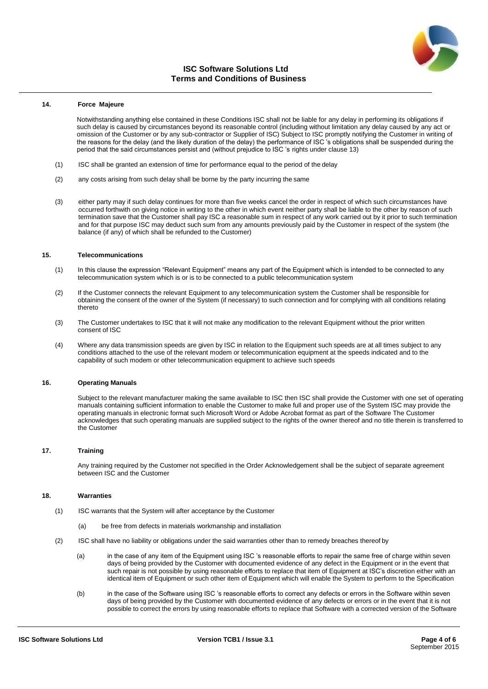

# **14. Force Majeure**

Notwithstanding anything else contained in these Conditions ISC shall not be liable for any delay in performing its obligations if such delay is caused by circumstances beyond its reasonable control (including without limitation any delay caused by any act or omission of the Customer or by any sub-contractor or Supplier of ISC) Subject to ISC promptly notifying the Customer in writing of the reasons for the delay (and the likely duration of the delay) the performance of ISC 's obligations shall be suspended during the period that the said circumstances persist and (without prejudice to ISC 's rights under clause 13)

- (1) ISC shall be granted an extension of time for performance equal to the period of the delay
- (2) any costs arising from such delay shall be borne by the party incurring the same
- (3) either party may if such delay continues for more than five weeks cancel the order in respect of which such circumstances have occurred forthwith on giving notice in writing to the other in which event neither party shall be liable to the other by reason of such termination save that the Customer shall pay ISC a reasonable sum in respect of any work carried out by it prior to such termination and for that purpose ISC may deduct such sum from any amounts previously paid by the Customer in respect of the system (the balance (if any) of which shall be refunded to the Customer)

# **15. Telecommunications**

- (1) In this clause the expression "Relevant Equipment" means any part of the Equipment which is intended to be connected to any telecommunication system which is or is to be connected to a public telecommunication system
- (2) If the Customer connects the relevant Equipment to any telecommunication system the Customer shall be responsible for obtaining the consent of the owner of the System (if necessary) to such connection and for complying with all conditions relating thereto
- (3) The Customer undertakes to ISC that it will not make any modification to the relevant Equipment without the prior written consent of ISC
- (4) Where any data transmission speeds are given by ISC in relation to the Equipment such speeds are at all times subject to any conditions attached to the use of the relevant modem or telecommunication equipment at the speeds indicated and to the capability of such modem or other telecommunication equipment to achieve such speeds

#### **16. Operating Manuals**

Subject to the relevant manufacturer making the same available to ISC then ISC shall provide the Customer with one set of operating manuals containing sufficient information to enable the Customer to make full and proper use of the System ISC may provide the operating manuals in electronic format such Microsoft Word or Adobe Acrobat format as part of the Software The Customer acknowledges that such operating manuals are supplied subject to the rights of the owner thereof and no title therein is transferred to the Customer

#### **17. Training**

Any training required by the Customer not specified in the Order Acknowledgement shall be the subject of separate agreement between ISC and the Customer

### **18. Warranties**

- (1) ISC warrants that the System will after acceptance by the Customer
	- (a) be free from defects in materials workmanship and installation
	- (2) ISC shall have no liability or obligations under the said warranties other than to remedy breaches thereof by
		- (a) in the case of any item of the Equipment using ISC 's reasonable efforts to repair the same free of charge within seven days of being provided by the Customer with documented evidence of any defect in the Equipment or in the event that such repair is not possible by using reasonable efforts to replace that item of Equipment at ISC's discretion either with an identical item of Equipment or such other item of Equipment which will enable the System to perform to the Specification
		- (b) in the case of the Software using ISC 's reasonable efforts to correct any defects or errors in the Software within seven days of being provided by the Customer with documented evidence of any defects or errors or in the event that it is not possible to correct the errors by using reasonable efforts to replace that Software with a corrected version of the Software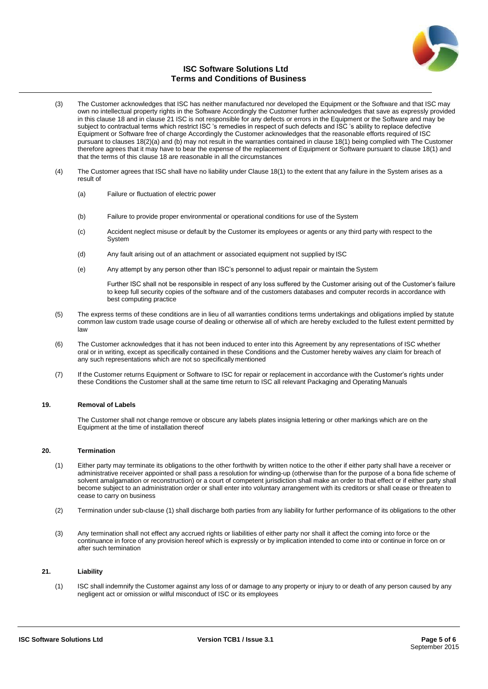

- (3) The Customer acknowledges that ISC has neither manufactured nor developed the Equipment or the Software and that ISC may own no intellectual property rights in the Software Accordingly the Customer further acknowledges that save as expressly provided in this clause 18 and in clause 21 ISC is not responsible for any defects or errors in the Equipment or the Software and may be subject to contractual terms which restrict ISC 's remedies in respect of such defects and ISC 's ability to replace defective Equipment or Software free of charge Accordingly the Customer acknowledges that the reasonable efforts required of ISC pursuant to clauses 18(2)(a) and (b) may not result in the warranties contained in clause 18(1) being complied with The Customer therefore agrees that it may have to bear the expense of the replacement of Equipment or Software pursuant to clause 18(1) and that the terms of this clause 18 are reasonable in all the circumstances
- (4) The Customer agrees that ISC shall have no liability under Clause 18(1) to the extent that any failure in the System arises as a result of
	- (a) Failure or fluctuation of electric power
	- (b) Failure to provide proper environmental or operational conditions for use of the System
	- (c) Accident neglect misuse or default by the Customer its employees or agents or any third party with respect to the System
	- (d) Any fault arising out of an attachment or associated equipment not supplied by ISC
	- (e) Any attempt by any person other than ISC's personnel to adjust repair or maintain the System

Further ISC shall not be responsible in respect of any loss suffered by the Customer arising out of the Customer's failure to keep full security copies of the software and of the customers databases and computer records in accordance with best computing practice

- (5) The express terms of these conditions are in lieu of all warranties conditions terms undertakings and obligations implied by statute common law custom trade usage course of dealing or otherwise all of which are hereby excluded to the fullest extent permitted by law
- (6) The Customer acknowledges that it has not been induced to enter into this Agreement by any representations of ISC whether oral or in writing, except as specifically contained in these Conditions and the Customer hereby waives any claim for breach of any such representations which are not so specifically mentioned
- (7) If the Customer returns Equipment or Software to ISC for repair or replacement in accordance with the Customer's rights under these Conditions the Customer shall at the same time return to ISC all relevant Packaging and Operating Manuals

# **19. Removal of Labels**

The Customer shall not change remove or obscure any labels plates insignia lettering or other markings which are on the Equipment at the time of installation thereof

# **20. Termination**

- (1) Either party may terminate its obligations to the other forthwith by written notice to the other if either party shall have a receiver or administrative receiver appointed or shall pass a resolution for winding-up (otherwise than for the purpose of a bona fide scheme of solvent amalgamation or reconstruction) or a court of competent jurisdiction shall make an order to that effect or if either party shall become subject to an administration order or shall enter into voluntary arrangement with its creditors or shall cease or threaten to cease to carry on business
- (2) Termination under sub-clause (1) shall discharge both parties from any liability for further performance of its obligations to the other
- (3) Any termination shall not effect any accrued rights or liabilities of either party nor shall it affect the coming into force or the continuance in force of any provision hereof which is expressly or by implication intended to come into or continue in force on or after such termination

# **21. Liability**

(1) ISC shall indemnify the Customer against any loss of or damage to any property or injury to or death of any person caused by any negligent act or omission or wilful misconduct of ISC or its employees